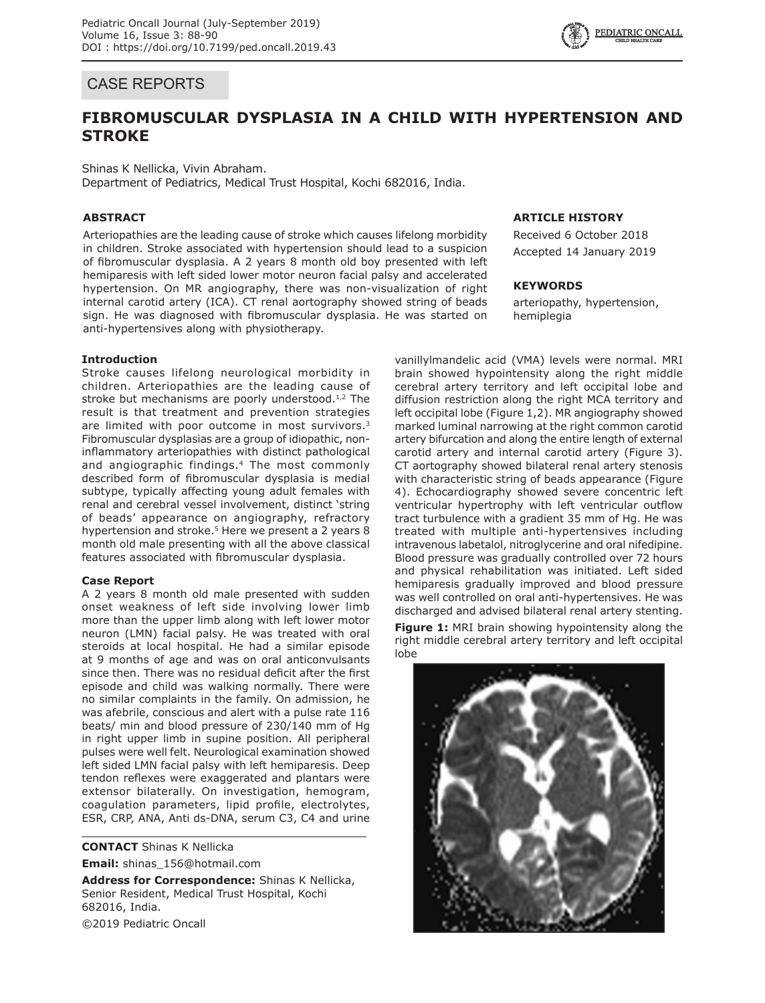## CASE REPORTS

# **FIBROMUSCULAR DYSPLASIA IN A CHILD WITH HYPERTENSION AND STROKE**

Shinas K Nellicka, Vivin Abraham. Department of Pediatrics, Medical Trust Hospital, Kochi 682016, India.

## **ABSTRACT**

Arteriopathies are the leading cause of stroke which causes lifelong morbidity in children. Stroke associated with hypertension should lead to a suspicion of fibromuscular dysplasia. A 2 years 8 month old boy presented with left hemiparesis with left sided lower motor neuron facial palsy and accelerated hypertension. On MR angiography, there was non-visualization of right internal carotid artery (ICA). CT renal aortography showed string of beads sign. He was diagnosed with fibromuscular dysplasia. He was started on anti-hypertensives along with physiotherapy.

## **Introduction**

Stroke causes lifelong neurological morbidity in children. Arteriopathies are the leading cause of stroke but mechanisms are poorly understood. $1,2$  The result is that treatment and prevention strategies are limited with poor outcome in most survivors.<sup>3</sup> Fibromuscular dysplasias are a group of idiopathic, noninflammatory arteriopathies with distinct pathological and angiographic findings.4 The most commonly described form of fibromuscular dysplasia is medial subtype, typically affecting young adult females with renal and cerebral vessel involvement, distinct 'string of beads' appearance on angiography, refractory hypertension and stroke.<sup>5</sup> Here we present a 2 years 8 month old male presenting with all the above classical features associated with fibromuscular dysplasia.

## **Case Report**

A 2 years 8 month old male presented with sudden onset weakness of left side involving lower limb more than the upper limb along with left lower motor neuron (LMN) facial palsy. He was treated with oral steroids at local hospital. He had a similar episode at 9 months of age and was on oral anticonvulsants since then. There was no residual deficit after the first episode and child was walking normally. There were no similar complaints in the family. On admission, he was afebrile, conscious and alert with a pulse rate 116 beats/ min and blood pressure of 230/140 mm of Hg in right upper limb in supine position. All peripheral pulses were well felt. Neurological examination showed left sided LMN facial palsy with left hemiparesis. Deep tendon reflexes were exaggerated and plantars were extensor bilaterally. On investigation, hemogram, coagulation parameters, lipid profile, electrolytes, ESR, CRP, ANA, Anti ds-DNA, serum C3, C4 and urine

**CONTACT** Shinas K Nellicka **Email:** shinas\_156@hotmail.com

**Address for Correspondence:** Shinas K Nellicka, Senior Resident, Medical Trust Hospital, Kochi 682016, India. ©2019 Pediatric Oncall

## **ARTICLE HISTORY**

Received 6 October 2018 Accepted 14 January 2019

#### **KEYWORDS**

arteriopathy, hypertension, hemiplegia

vanillylmandelic acid (VMA) levels were normal. MRI brain showed hypointensity along the right middle cerebral artery territory and left occipital lobe and diffusion restriction along the right MCA territory and left occipital lobe (Figure 1,2). MR angiography showed marked luminal narrowing at the right common carotid artery bifurcation and along the entire length of external carotid artery and internal carotid artery (Figure 3). CT aortography showed bilateral renal artery stenosis with characteristic string of beads appearance (Figure 4). Echocardiography showed severe concentric left ventricular hypertrophy with left ventricular outflow tract turbulence with a gradient 35 mm of Hg. He was treated with multiple anti-hypertensives including intravenous labetalol, nitroglycerine and oral nifedipine. Blood pressure was gradually controlled over 72 hours and physical rehabilitation was initiated. Left sided hemiparesis gradually improved and blood pressure was well controlled on oral anti-hypertensives. He was discharged and advised bilateral renal artery stenting.

**Figure 1:** MRI brain showing hypointensity along the right middle cerebral artery territory and left occipital lobe

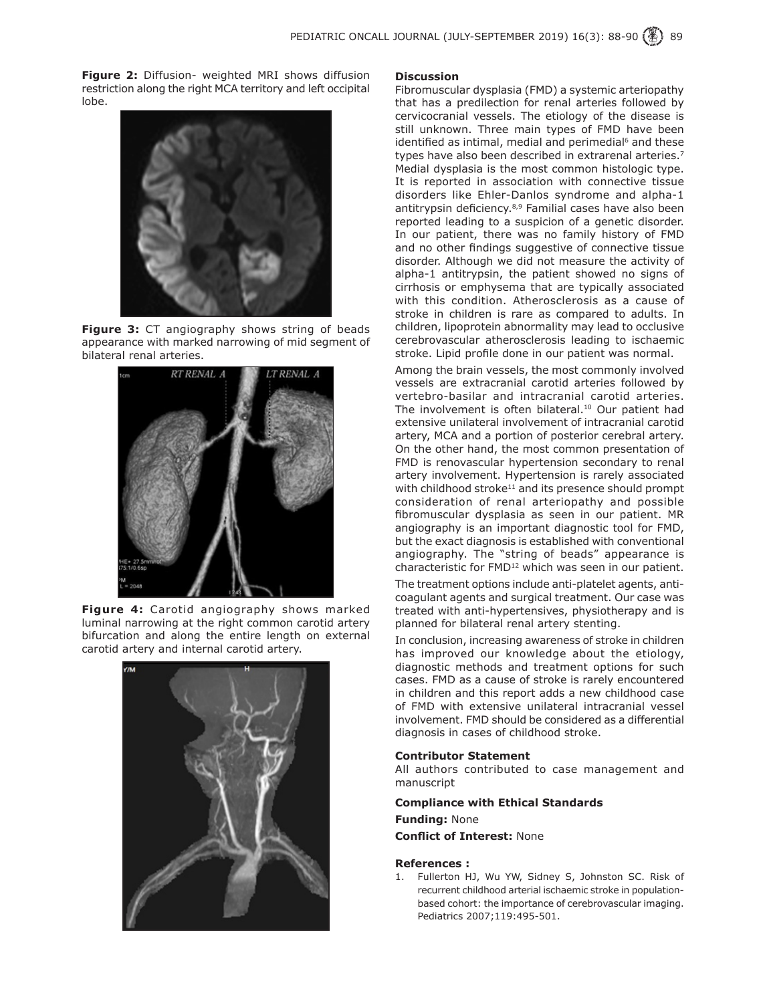**Figure 2:** Diffusion- weighted MRI shows diffusion restriction along the right MCA territory and left occipital lobe.



**Figure 3:** CT angiography shows string of beads appearance with marked narrowing of mid segment of bilateral renal arteries.



**Figure 4:** Carotid angiography shows marked luminal narrowing at the right common carotid artery bifurcation and along the entire length on external carotid artery and internal carotid artery.



#### **Discussion**

Fibromuscular dysplasia (FMD) a systemic arteriopathy that has a predilection for renal arteries followed by cervicocranial vessels. The etiology of the disease is still unknown. Three main types of FMD have been identified as intimal, medial and perimedial<sup>6</sup> and these types have also been described in extrarenal arteries.<sup>7</sup> Medial dysplasia is the most common histologic type. It is reported in association with connective tissue disorders like Ehler-Danlos syndrome and alpha-1 antitrypsin deficiency.<sup>8,9</sup> Familial cases have also been reported leading to a suspicion of a genetic disorder. In our patient, there was no family history of FMD and no other findings suggestive of connective tissue disorder. Although we did not measure the activity of alpha-1 antitrypsin, the patient showed no signs of cirrhosis or emphysema that are typically associated with this condition. Atherosclerosis as a cause of stroke in children is rare as compared to adults. In children, lipoprotein abnormality may lead to occlusive cerebrovascular atherosclerosis leading to ischaemic stroke. Lipid profile done in our patient was normal.

Among the brain vessels, the most commonly involved vessels are extracranial carotid arteries followed by vertebro-basilar and intracranial carotid arteries. The involvement is often bilateral.<sup>10</sup> Our patient had extensive unilateral involvement of intracranial carotid artery, MCA and a portion of posterior cerebral artery. On the other hand, the most common presentation of FMD is renovascular hypertension secondary to renal artery involvement. Hypertension is rarely associated with childhood stroke $11$  and its presence should prompt consideration of renal arteriopathy and possible fibromuscular dysplasia as seen in our patient. MR angiography is an important diagnostic tool for FMD, but the exact diagnosis is established with conventional angiography. The "string of beads" appearance is characteristic for FMD<sup>12</sup> which was seen in our patient.

The treatment options include anti-platelet agents, anticoagulant agents and surgical treatment. Our case was treated with anti-hypertensives, physiotherapy and is planned for bilateral renal artery stenting.

In conclusion, increasing awareness of stroke in children has improved our knowledge about the etiology, diagnostic methods and treatment options for such cases. FMD as a cause of stroke is rarely encountered in children and this report adds a new childhood case of FMD with extensive unilateral intracranial vessel involvement. FMD should be considered as a differential diagnosis in cases of childhood stroke.

## **Contributor Statement**

All authors contributed to case management and manuscript

### **Compliance with Ethical Standards**

**Funding:** None

**Conflict of Interest:** None

#### **References :**

1. Fullerton HJ, Wu YW, Sidney S, Johnston SC. Risk of recurrent childhood arterial ischaemic stroke in populationbased cohort: the importance of cerebrovascular imaging. Pediatrics 2007;119:495-501.